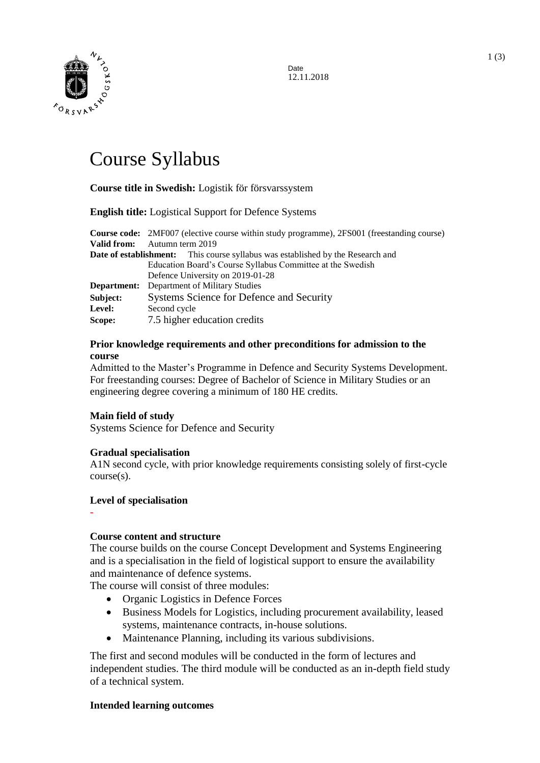

Date 12.11.2018

# Course Syllabus

# **Course title in Swedish:** Logistik för försvarssystem

#### **English title:** Logistical Support for Defence Systems

**Course code:** 2MF007 (elective course within study programme), 2FS001 (freestanding course) **Valid from:** Autumn term 2019 **Date of establishment:** This course syllabus was established by the Research and Education Board's Course Syllabus Committee at the Swedish Defence University on 2019-01-28 **Department:** Department of Military Studies **Subject:** Systems Science for Defence and Security **Level:** Second cycle **Scope:** 7.5 higher education credits

#### **Prior knowledge requirements and other preconditions for admission to the course**

Admitted to the Master's Programme in Defence and Security Systems Development. For freestanding courses: Degree of Bachelor of Science in Military Studies or an engineering degree covering a minimum of 180 HE credits.

#### **Main field of study**

Systems Science for Defence and Security

#### **Gradual specialisation**

A1N second cycle, with prior knowledge requirements consisting solely of first-cycle course(s).

# **Level of specialisation**

-

# **Course content and structure**

The course builds on the course Concept Development and Systems Engineering and is a specialisation in the field of logistical support to ensure the availability and maintenance of defence systems.

The course will consist of three modules:

- Organic Logistics in Defence Forces
- Business Models for Logistics, including procurement availability, leased systems, maintenance contracts, in-house solutions.
- Maintenance Planning, including its various subdivisions.

The first and second modules will be conducted in the form of lectures and independent studies. The third module will be conducted as an in-depth field study of a technical system.

# **Intended learning outcomes**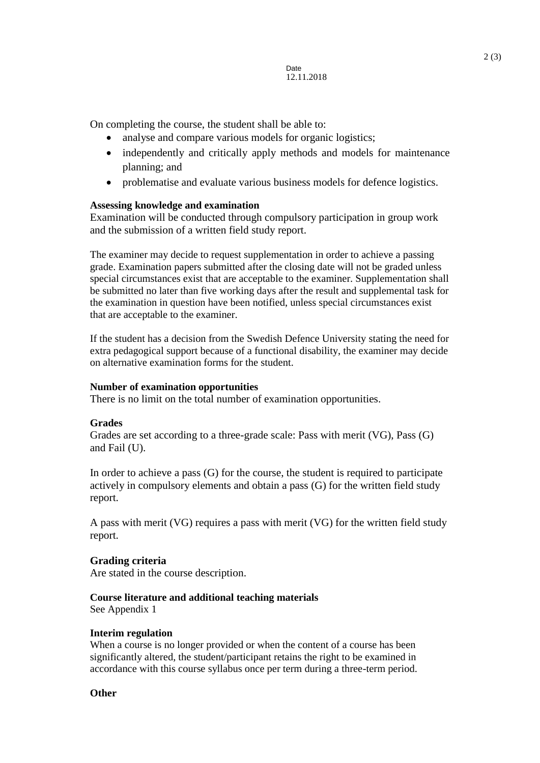On completing the course, the student shall be able to:

- analyse and compare various models for organic logistics;
- independently and critically apply methods and models for maintenance planning; and
- problematise and evaluate various business models for defence logistics.

# **Assessing knowledge and examination**

Examination will be conducted through compulsory participation in group work and the submission of a written field study report.

The examiner may decide to request supplementation in order to achieve a passing grade. Examination papers submitted after the closing date will not be graded unless special circumstances exist that are acceptable to the examiner. Supplementation shall be submitted no later than five working days after the result and supplemental task for the examination in question have been notified, unless special circumstances exist that are acceptable to the examiner.

If the student has a decision from the Swedish Defence University stating the need for extra pedagogical support because of a functional disability, the examiner may decide on alternative examination forms for the student.

# **Number of examination opportunities**

There is no limit on the total number of examination opportunities.

# **Grades**

Grades are set according to a three-grade scale: Pass with merit (VG), Pass (G) and Fail (U).

In order to achieve a pass (G) for the course, the student is required to participate actively in compulsory elements and obtain a pass (G) for the written field study report.

A pass with merit (VG) requires a pass with merit (VG) for the written field study report.

# **Grading criteria**

Are stated in the course description.

# **Course literature and additional teaching materials**

See Appendix 1

#### **Interim regulation**

When a course is no longer provided or when the content of a course has been significantly altered, the student/participant retains the right to be examined in accordance with this course syllabus once per term during a three-term period.

# **Other**